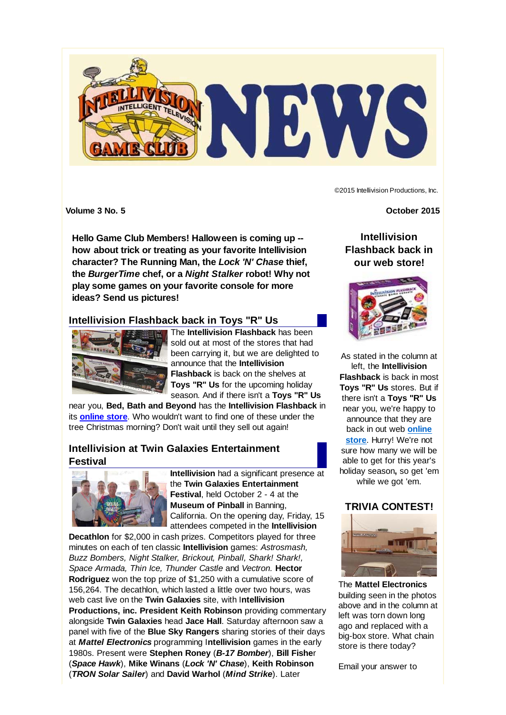

©2015 Intellivision Productions, Inc.

**Volume 3 No. 5** October 2015

**Hello Game Club Members! Halloween is coming up - how about trick or treating as your favorite Intellivision character? The Running Man, the** *Lock 'N' Chase* **thief, the** *BurgerTime* **chef, or a** *Night Stalker* **robot! Why not play some games on your favorite console for more ideas? Send us pictures!**

# **Intellivision Flashback back in Toys "R" Us**



The **Intellivision Flashback** has been sold out at most of the stores that had been carrying it, but we are delighted to announce that the **Intellivision Flashback** is back on the shelves at **Toys "R" Us** for the upcoming holiday season. And if there isn't a **Toys "R" Us**

near you, **Bed, Bath and Beyond** has the **Intellivision Flashback** in its **online store**. Who wouldn't want to find one of these under the tree Christmas morning? Don't wait until they sell out again!

# **Intellivision at Twin Galaxies Entertainment Festival**



**Intellivision** had a significant presence at the **Twin Galaxies Entertainment Festival**, held October 2 - 4 at the **Museum of Pinball** in Banning, California. On the opening day, Friday, 15 attendees competed in the **Intellivision**

**Decathlon** for \$2,000 in cash prizes. Competitors played for three minutes on each of ten classic **Intellivision** games: *Astrosmash, Buzz Bombers, Night Stalker, Brickout, Pinball, Shark! Shark!, Space Armada, Thin Ice, Thunder Castle* and *Vectron.* **Hector Rodriguez** won the top prize of \$1,250 with a cumulative score of 156,264. The decathlon, which lasted a little over two hours, was web cast live on the **Twin Galaxies** site, with I**ntellivision Productions, inc. President Keith Robinson** providing commentary alongside **Twin Galaxies** head **Jace Hall**. Saturday afternoon saw a panel with five of the **Blue Sky Rangers** sharing stories of their days at *Mattel Electronics* programming I**ntellivision** games in the early 1980s. Present were **Stephen Roney** (*B-17 Bomber*), **Bill Fishe**r (*Space Hawk*), **Mike Winans** (*Lock 'N' Chase*), **Keith Robinson** (*TRON Solar Sailer*) and **David Warhol** (*Mind Strike*). Later

**Intellivision Flashback back in our web store!**



As stated in the column at left, the **Intellivision Flashback** is back in most **Toys "R" Us** stores. But if there isn't a **Toys "R" Us** near you, we're happy to announce that they are back in out web **online store**. Hurry! We're not sure how many we will be able to get for this year's holiday season**,** so get 'em while we got 'em.

## **TRIVIA CONTEST!**



The **Mattel Electronics** building seen in the photos above and in the column at left was torn down long ago and replaced with a big-box store. What chain store is there today?

Email your answer to